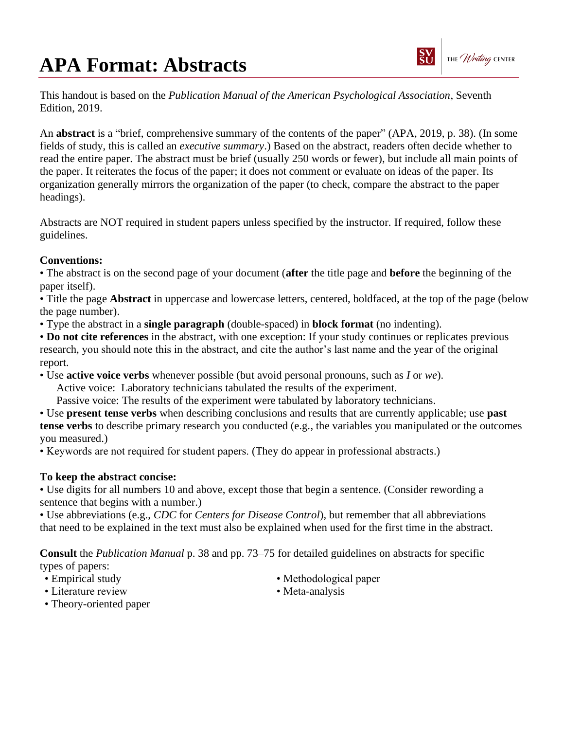## **APA Format: Abstracts**



This handout is based on the *Publication Manual of the American Psychological Association*, Seventh Edition, 2019.

An **abstract** is a "brief, comprehensive summary of the contents of the paper" (APA, 2019, p. 38). (In some fields of study, this is called an *executive summary*.) Based on the abstract, readers often decide whether to read the entire paper. The abstract must be brief (usually 250 words or fewer), but include all main points of the paper. It reiterates the focus of the paper; it does not comment or evaluate on ideas of the paper. Its organization generally mirrors the organization of the paper (to check, compare the abstract to the paper headings).

Abstracts are NOT required in student papers unless specified by the instructor. If required, follow these guidelines.

## **Conventions:**

• The abstract is on the second page of your document (**after** the title page and **before** the beginning of the paper itself).

• Title the page **Abstract** in uppercase and lowercase letters, centered, boldfaced, at the top of the page (below the page number).

• Type the abstract in a **single paragraph** (double-spaced) in **block format** (no indenting).

• **Do not cite references** in the abstract, with one exception: If your study continues or replicates previous research, you should note this in the abstract, and cite the author's last name and the year of the original report.

• Use **active voice verbs** whenever possible (but avoid personal pronouns, such as *I* or *we*).

Active voice: Laboratory technicians tabulated the results of the experiment.

Passive voice: The results of the experiment were tabulated by laboratory technicians.

• Use **present tense verbs** when describing conclusions and results that are currently applicable; use **past tense verbs** to describe primary research you conducted (e.g., the variables you manipulated or the outcomes you measured.)

• Keywords are not required for student papers. (They do appear in professional abstracts.)

## **To keep the abstract concise:**

• Use digits for all numbers 10 and above, except those that begin a sentence. (Consider rewording a sentence that begins with a number.)

• Use abbreviations (e.g., *CDC* for *Centers for Disease Control*), but remember that all abbreviations that need to be explained in the text must also be explained when used for the first time in the abstract.

**Consult** the *Publication Manual* p. 38 and pp. 73–75 for detailed guidelines on abstracts for specific types of papers:

- Empirical study
- Literature review
- Methodological paper
- Meta-analysis

• Theory-oriented paper